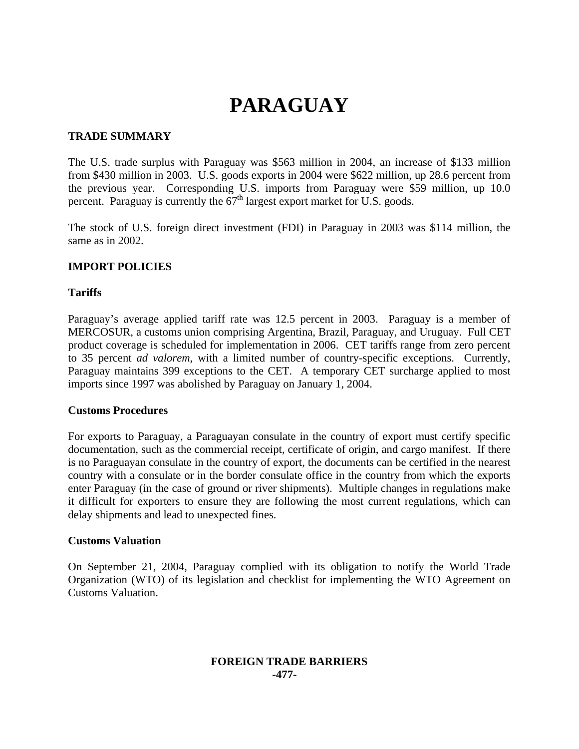# **PARAGUAY**

#### **TRADE SUMMARY**

The U.S. trade surplus with Paraguay was \$563 million in 2004, an increase of \$133 million from \$430 million in 2003. U.S. goods exports in 2004 were \$622 million, up 28.6 percent from the previous year. Corresponding U.S. imports from Paraguay were \$59 million, up 10.0 percent. Paraguay is currently the  $67<sup>th</sup>$  largest export market for U.S. goods.

The stock of U.S. foreign direct investment (FDI) in Paraguay in 2003 was \$114 million, the same as in 2002.

# **IMPORT POLICIES**

#### **Tariffs**

Paraguay's average applied tariff rate was 12.5 percent in 2003. Paraguay is a member of MERCOSUR, a customs union comprising Argentina, Brazil, Paraguay, and Uruguay. Full CET product coverage is scheduled for implementation in 2006. CET tariffs range from zero percent to 35 percent *ad valorem*, with a limited number of country-specific exceptions. Currently, Paraguay maintains 399 exceptions to the CET. A temporary CET surcharge applied to most imports since 1997 was abolished by Paraguay on January 1, 2004.

#### **Customs Procedures**

For exports to Paraguay, a Paraguayan consulate in the country of export must certify specific documentation, such as the commercial receipt, certificate of origin, and cargo manifest. If there is no Paraguayan consulate in the country of export, the documents can be certified in the nearest country with a consulate or in the border consulate office in the country from which the exports enter Paraguay (in the case of ground or river shipments). Multiple changes in regulations make it difficult for exporters to ensure they are following the most current regulations, which can delay shipments and lead to unexpected fines.

#### **Customs Valuation**

On September 21, 2004, Paraguay complied with its obligation to notify the World Trade Organization (WTO) of its legislation and checklist for implementing the WTO Agreement on Customs Valuation.

## **FOREIGN TRADE BARRIERS -477-**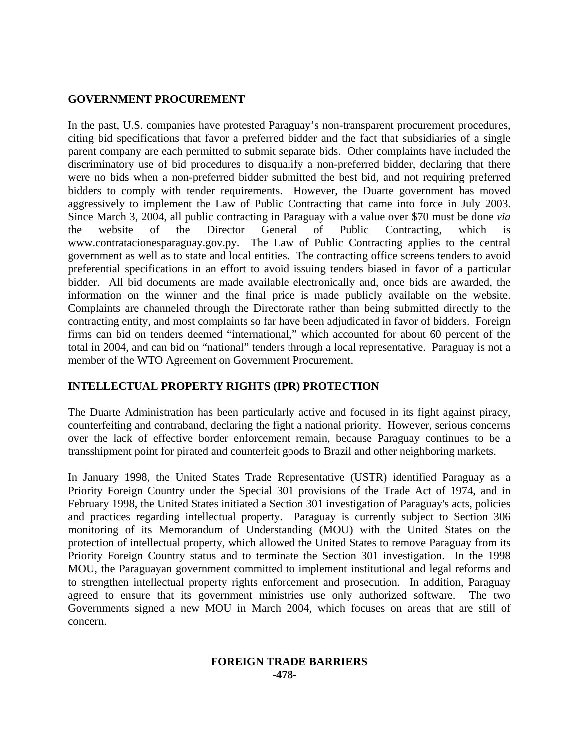## **GOVERNMENT PROCUREMENT**

In the past, U.S. companies have protested Paraguay's non-transparent procurement procedures, citing bid specifications that favor a preferred bidder and the fact that subsidiaries of a single parent company are each permitted to submit separate bids. Other complaints have included the discriminatory use of bid procedures to disqualify a non-preferred bidder, declaring that there were no bids when a non-preferred bidder submitted the best bid, and not requiring preferred bidders to comply with tender requirements. However, the Duarte government has moved aggressively to implement the Law of Public Contracting that came into force in July 2003. Since March 3, 2004, all public contracting in Paraguay with a value over \$70 must be done *via* the website of the Director General of Public Contracting, which is www.contratacionesparaguay.gov.py. The Law of Public Contracting applies to the central government as well as to state and local entities. The contracting office screens tenders to avoid preferential specifications in an effort to avoid issuing tenders biased in favor of a particular bidder. All bid documents are made available electronically and, once bids are awarded, the information on the winner and the final price is made publicly available on the website. Complaints are channeled through the Directorate rather than being submitted directly to the contracting entity, and most complaints so far have been adjudicated in favor of bidders. Foreign firms can bid on tenders deemed "international," which accounted for about 60 percent of the total in 2004, and can bid on "national" tenders through a local representative. Paraguay is not a member of the WTO Agreement on Government Procurement.

## **INTELLECTUAL PROPERTY RIGHTS (IPR) PROTECTION**

The Duarte Administration has been particularly active and focused in its fight against piracy, counterfeiting and contraband, declaring the fight a national priority. However, serious concerns over the lack of effective border enforcement remain, because Paraguay continues to be a transshipment point for pirated and counterfeit goods to Brazil and other neighboring markets.

In January 1998, the United States Trade Representative (USTR) identified Paraguay as a Priority Foreign Country under the Special 301 provisions of the Trade Act of 1974, and in February 1998, the United States initiated a Section 301 investigation of Paraguay's acts, policies and practices regarding intellectual property. Paraguay is currently subject to Section 306 monitoring of its Memorandum of Understanding (MOU) with the United States on the protection of intellectual property, which allowed the United States to remove Paraguay from its Priority Foreign Country status and to terminate the Section 301 investigation. In the 1998 MOU, the Paraguayan government committed to implement institutional and legal reforms and to strengthen intellectual property rights enforcement and prosecution. In addition, Paraguay agreed to ensure that its government ministries use only authorized software. The two Governments signed a new MOU in March 2004, which focuses on areas that are still of concern.

#### **FOREIGN TRADE BARRIERS -478-**